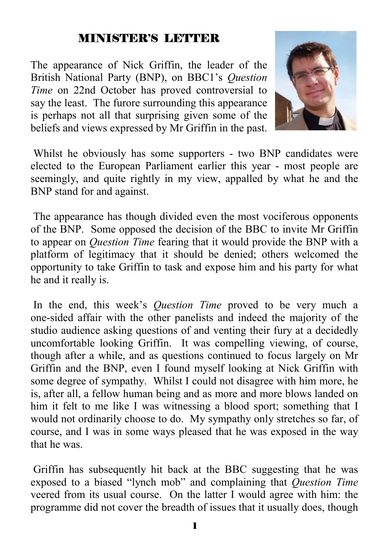#### MINISTER'S LETTER

The appearance of Nick Griffin, the leader of the British National Party (BNP), on BBC1's *Question Time* on 22nd October has proved controversial to say the least. The furore surrounding this appearance is perhaps not all that surprising given some of the beliefs and views expressed by Mr Griffin in the past.



 Whilst he obviously has some supporters - two BNP candidates were elected to the European Parliament earlier this year - most people are seemingly, and quite rightly in my view, appalled by what he and the BNP stand for and against.

 The appearance has though divided even the most vociferous opponents of the BNP. Some opposed the decision of the BBC to invite Mr Griffin to appear on *Question Time* fearing that it would provide the BNP with a platform of legitimacy that it should be denied; others welcomed the opportunity to take Griffin to task and expose him and his party for what he and it really is.

 In the end, this week's *Question Time* proved to be very much a one-sided affair with the other panelists and indeed the majority of the studio audience asking questions of and venting their fury at a decidedly uncomfortable looking Griffin. It was compelling viewing, of course, though after a while, and as questions continued to focus largely on Mr Griffin and the BNP, even I found myself looking at Nick Griffin with some degree of sympathy. Whilst I could not disagree with him more, he is, after all, a fellow human being and as more and more blows landed on him it felt to me like I was witnessing a blood sport; something that I would not ordinarily choose to do. My sympathy only stretches so far, of course, and I was in some ways pleased that he was exposed in the way that he was.

 Griffin has subsequently hit back at the BBC suggesting that he was exposed to a biased "lynch mob" and complaining that *Question Time* veered from its usual course. On the latter I would agree with him: the programme did not cover the breadth of issues that it usually does, though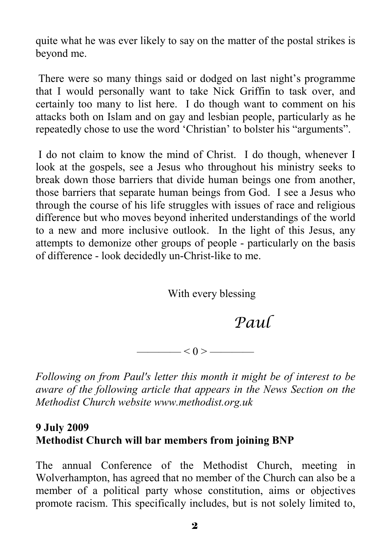quite what he was ever likely to say on the matter of the postal strikes is beyond me.

 There were so many things said or dodged on last night's programme that I would personally want to take Nick Griffin to task over, and certainly too many to list here. I do though want to comment on his attacks both on Islam and on gay and lesbian people, particularly as he repeatedly chose to use the word 'Christian' to bolster his "arguments".

 I do not claim to know the mind of Christ. I do though, whenever I look at the gospels, see a Jesus who throughout his ministry seeks to break down those barriers that divide human beings one from another, those barriers that separate human beings from God. I see a Jesus who through the course of his life struggles with issues of race and religious difference but who moves beyond inherited understandings of the world to a new and more inclusive outlook. In the light of this Jesus, any attempts to demonize other groups of people - particularly on the basis of difference - look decidedly un-Christ-like to me.

With every blessing

# *Paul*

———— $< 0 >$ ———

*Following on from Paul's letter this month it might be of interest to be aware of the following article that appears in the News Section on the Methodist Church website www.methodist.org.uk* 

#### **9 July 2009 Methodist Church will bar members from joining BNP**

The annual Conference of the Methodist Church, meeting in Wolverhampton, has agreed that no member of the Church can also be a member of a political party whose constitution, aims or objectives promote racism. This specifically includes, but is not solely limited to,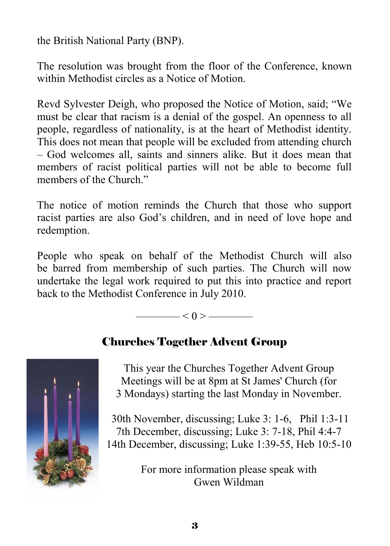the British National Party (BNP).

The resolution was brought from the floor of the Conference, known within Methodist circles as a Notice of Motion.

Revd Sylvester Deigh, who proposed the Notice of Motion, said; "We must be clear that racism is a denial of the gospel. An openness to all people, regardless of nationality, is at the heart of Methodist identity. This does not mean that people will be excluded from attending church – God welcomes all, saints and sinners alike. But it does mean that members of racist political parties will not be able to become full members of the Church."

The notice of motion reminds the Church that those who support racist parties are also God's children, and in need of love hope and redemption.

People who speak on behalf of the Methodist Church will also be barred from membership of such parties. The Church will now undertake the legal work required to put this into practice and report back to the Methodist Conference in July 2010.

 $\longrightarrow$  < 0 >  $\longrightarrow$ 



### Churches Together Advent Group

This year the Churches Together Advent Group Meetings will be at 8pm at St James' Church (for 3 Mondays) starting the last Monday in November.

 30th November, discussing; Luke 3: 1-6, Phil 1:3-11 7th December, discussing; Luke 3: 7-18, Phil 4:4-7 14th December, discussing; Luke 1:39-55, Heb 10:5-10

> For more information please speak with Gwen Wildman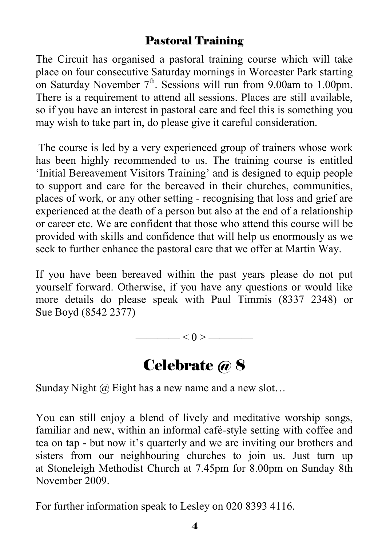#### Pastoral Training

The Circuit has organised a pastoral training course which will take place on four consecutive Saturday mornings in Worcester Park starting on Saturday November  $7<sup>th</sup>$ . Sessions will run from 9.00am to 1.00pm. There is a requirement to attend all sessions. Places are still available, so if you have an interest in pastoral care and feel this is something you may wish to take part in, do please give it careful consideration.

 The course is led by a very experienced group of trainers whose work has been highly recommended to us. The training course is entitled 'Initial Bereavement Visitors Training' and is designed to equip people to support and care for the bereaved in their churches, communities, places of work, or any other setting - recognising that loss and grief are experienced at the death of a person but also at the end of a relationship or career etc. We are confident that those who attend this course will be provided with skills and confidence that will help us enormously as we seek to further enhance the pastoral care that we offer at Martin Way.

If you have been bereaved within the past years please do not put yourself forward. Otherwise, if you have any questions or would like more details do please speak with Paul Timmis (8337 2348) or Sue Boyd (8542 2377)

———— < 0 > ————

# Celebrate @ 8

Sunday Night  $\omega$  Eight has a new name and a new slot...

You can still enjoy a blend of lively and meditative worship songs, familiar and new, within an informal café-style setting with coffee and tea on tap - but now it's quarterly and we are inviting our brothers and sisters from our neighbouring churches to join us. Just turn up at Stoneleigh Methodist Church at 7.45pm for 8.00pm on Sunday 8th November 2009.

For further information speak to Lesley on 020 8393 4116.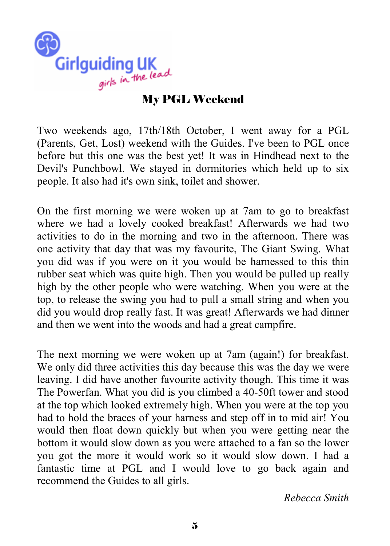

#### My PGL Weekend

Two weekends ago, 17th/18th October, I went away for a PGL (Parents, Get, Lost) weekend with the Guides. I've been to PGL once before but this one was the best yet! It was in Hindhead next to the Devil's Punchbowl. We stayed in dormitories which held up to six people. It also had it's own sink, toilet and shower.

On the first morning we were woken up at 7am to go to breakfast where we had a lovely cooked breakfast! Afterwards we had two activities to do in the morning and two in the afternoon. There was one activity that day that was my favourite, The Giant Swing. What you did was if you were on it you would be harnessed to this thin rubber seat which was quite high. Then you would be pulled up really high by the other people who were watching. When you were at the top, to release the swing you had to pull a small string and when you did you would drop really fast. It was great! Afterwards we had dinner and then we went into the woods and had a great campfire.

The next morning we were woken up at 7am (again!) for breakfast. We only did three activities this day because this was the day we were leaving. I did have another favourite activity though. This time it was The Powerfan. What you did is you climbed a 40-50ft tower and stood at the top which looked extremely high. When you were at the top you had to hold the braces of your harness and step off in to mid air! You would then float down quickly but when you were getting near the bottom it would slow down as you were attached to a fan so the lower you got the more it would work so it would slow down. I had a fantastic time at PGL and I would love to go back again and recommend the Guides to all girls.

*Rebecca Smith*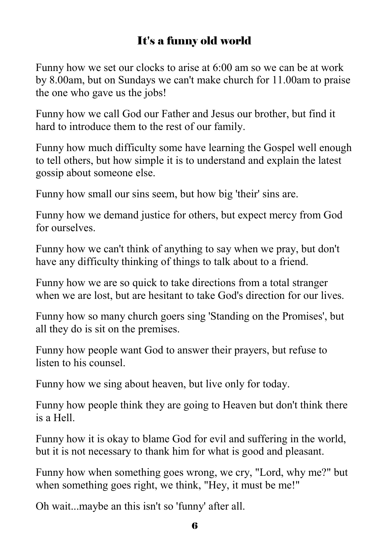## It's a funny old world

Funny how we set our clocks to arise at 6:00 am so we can be at work by 8.00am, but on Sundays we can't make church for 11.00am to praise the one who gave us the jobs!

Funny how we call God our Father and Jesus our brother, but find it hard to introduce them to the rest of our family.

Funny how much difficulty some have learning the Gospel well enough to tell others, but how simple it is to understand and explain the latest gossip about someone else.

Funny how small our sins seem, but how big 'their' sins are.

Funny how we demand justice for others, but expect mercy from God for ourselves.

Funny how we can't think of anything to say when we pray, but don't have any difficulty thinking of things to talk about to a friend.

Funny how we are so quick to take directions from a total stranger when we are lost, but are hesitant to take God's direction for our lives.

Funny how so many church goers sing 'Standing on the Promises', but all they do is sit on the premises.

Funny how people want God to answer their prayers, but refuse to listen to his counsel.

Funny how we sing about heaven, but live only for today.

Funny how people think they are going to Heaven but don't think there is a Hell.

Funny how it is okay to blame God for evil and suffering in the world, but it is not necessary to thank him for what is good and pleasant.

Funny how when something goes wrong, we cry, "Lord, why me?" but when something goes right, we think, "Hey, it must be me!"

Oh wait...maybe an this isn't so 'funny' after all.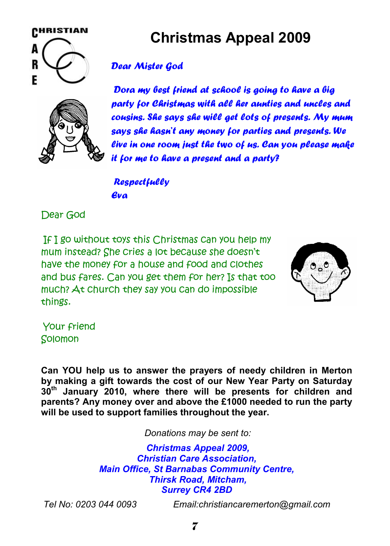

# **Christmas Appeal 2009**

#### *Dear Mister God*

*Dora my best friend at school is going to have a big party for Christmas with all her aunties and uncles and cousins. She says she will get lots of presents. My mum says she hasn't any money for parties and presents. We live in one room just the two of us. Can you please make it for me to have a present and a party?* 

*Respectfully Eva*

Dear God

If I go without toys this Christmas can you help my mum instead? She cries a lot because she doesn't have the money for a house and food and clothes and bus fares. Can you get them for her? Is that too much? At church they say you can do impossible things.



Your friend Solomon

**Can YOU help us to answer the prayers of needy children in Merton by making a gift towards the cost of our New Year Party on Saturday 30th January 2010, where there will be presents for children and parents? Any money over and above the £1000 needed to run the party will be used to support families throughout the year.** 

*Donations may be sent to:* 

 *Christmas Appeal 2009, Christian Care Association, Main Office, St Barnabas Community Centre, Thirsk Road, Mitcham, Surrey CR4 2BD* 

*Tel No: 0203 044 0093 Email:christiancaremerton@gmail.com*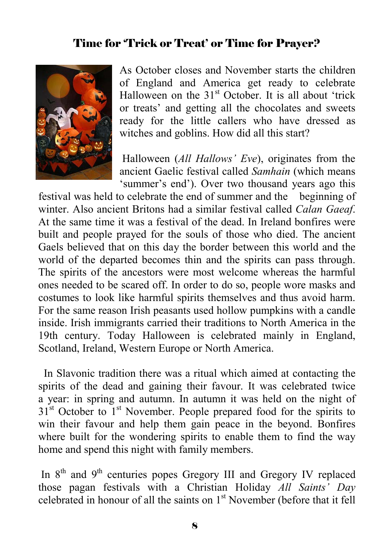#### Time for 'Trick or Treat' or Time for Prayer?



As October closes and November starts the children of England and America get ready to celebrate Halloween on the  $31<sup>st</sup>$  October. It is all about 'trick or treats' and getting all the chocolates and sweets ready for the little callers who have dressed as witches and goblins. How did all this start?

 Halloween (*All Hallows' Eve*), originates from the ancient Gaelic festival called *Samhain* (which means 'summer's end'). Over two thousand years ago this

festival was held to celebrate the end of summer and the beginning of winter. Also ancient Britons had a similar festival called *Calan Gaeaf*. At the same time it was a festival of the dead. In Ireland bonfires were built and people prayed for the souls of those who died. The ancient Gaels believed that on this day the border between this world and the world of the departed becomes thin and the spirits can pass through. The spirits of the ancestors were most welcome whereas the harmful ones needed to be scared off. In order to do so, people wore masks and costumes to look like harmful spirits themselves and thus avoid harm. For the same reason Irish peasants used hollow pumpkins with a candle inside. Irish immigrants carried their traditions to North America in the 19th century. Today Halloween is celebrated mainly in England, Scotland, Ireland, Western Europe or North America.

 In Slavonic tradition there was a ritual which aimed at contacting the spirits of the dead and gaining their favour. It was celebrated twice a year: in spring and autumn. In autumn it was held on the night of  $31<sup>st</sup>$  October to  $1<sup>st</sup>$  November. People prepared food for the spirits to win their favour and help them gain peace in the beyond. Bonfires where built for the wondering spirits to enable them to find the way home and spend this night with family members.

In 8<sup>th</sup> and 9<sup>th</sup> centuries popes Gregory III and Gregory IV replaced those pagan festivals with a Christian Holiday *All Saints' Day* celebrated in honour of all the saints on 1st November (before that it fell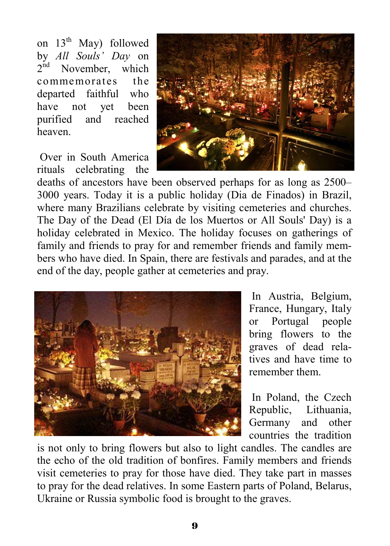on  $13<sup>th</sup>$  May) followed by *All Souls' Day* on  $2<sup>nd</sup>$  November, which commemorates the departed faithful who have not yet been purified and reached heaven.

 Over in South America rituals celebrating the



deaths of ancestors have been observed perhaps for as long as 2500– 3000 years. Today it is a public holiday (Dia de Finados) in Brazil, where many Brazilians celebrate by visiting cemeteries and churches. The Day of the Dead (El Día de los Muertos or All Souls' Day) is a holiday celebrated in Mexico. The holiday focuses on gatherings of family and friends to pray for and remember friends and family members who have died. In Spain, there are festivals and parades, and at the end of the day, people gather at cemeteries and pray.



 In Austria, Belgium, France, Hungary, Italy or Portugal people bring flowers to the graves of dead relatives and have time to remember them.

 In Poland, the Czech Republic, Lithuania, Germany and other countries the tradition

is not only to bring flowers but also to light candles. The candles are the echo of the old tradition of bonfires. Family members and friends visit cemeteries to pray for those have died. They take part in masses to pray for the dead relatives. In some Eastern parts of Poland, Belarus, Ukraine or Russia symbolic food is brought to the graves.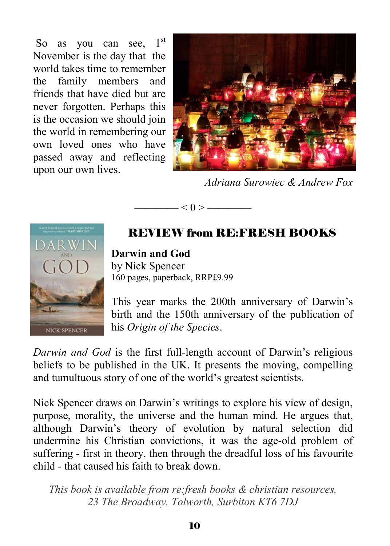So as you can see,  $1<sup>st</sup>$ November is the day that the world takes time to remember the family members and friends that have died but are never forgotten. Perhaps this is the occasion we should join the world in remembering our own loved ones who have passed away and reflecting upon our own lives.



*Adriana Surowiec & Andrew Fox* 



REVIEW from RE:FRESH BOOKS

 $- < 0 >$  —————

**Darwin and God** by Nick Spencer 160 pages, paperback, RRP£9.99

This year marks the 200th anniversary of Darwin's birth and the 150th anniversary of the publication of his *Origin of the Species*.

*Darwin and God* is the first full-length account of Darwin's religious beliefs to be published in the UK. It presents the moving, compelling and tumultuous story of one of the world's greatest scientists.

Nick Spencer draws on Darwin's writings to explore his view of design, purpose, morality, the universe and the human mind. He argues that, although Darwin's theory of evolution by natural selection did undermine his Christian convictions, it was the age-old problem of suffering - first in theory, then through the dreadful loss of his favourite child - that caused his faith to break down.

*This book is available from re:fresh books & christian resources, 23 The Broadway, Tolworth, Surbiton KT6 7DJ*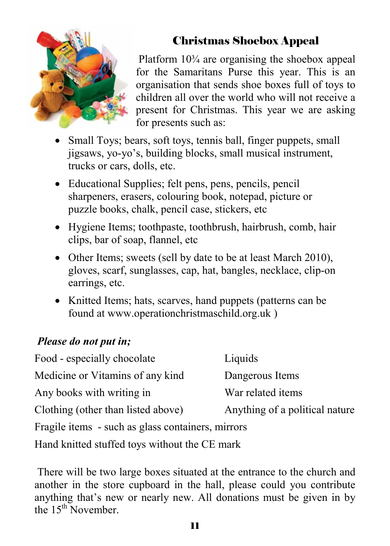

### Christmas Shoebox Appeal

 Platform 10¾ are organising the shoebox appeal for the Samaritans Purse this year. This is an organisation that sends shoe boxes full of toys to children all over the world who will not receive a present for Christmas. This year we are asking for presents such as:

- Small Toys; bears, soft toys, tennis ball, finger puppets, small jigsaws, yo-yo's, building blocks, small musical instrument, trucks or cars, dolls, etc.
- Educational Supplies; felt pens, pens, pencils, pencil sharpeners, erasers, colouring book, notepad, picture or puzzle books, chalk, pencil case, stickers, etc
- Hygiene Items; toothpaste, toothbrush, hairbrush, comb, hair clips, bar of soap, flannel, etc
- Other Items; sweets (sell by date to be at least March 2010), gloves, scarf, sunglasses, cap, hat, bangles, necklace, clip-on earrings, etc.
- Knitted Items; hats, scarves, hand puppets (patterns can be found at www.operationchristmaschild.org.uk )

#### *Please do not put in;*

| Food - especially chocolate                       | Liquids                        |  |  |  |  |  |  |  |
|---------------------------------------------------|--------------------------------|--|--|--|--|--|--|--|
| Medicine or Vitamins of any kind                  | Dangerous Items                |  |  |  |  |  |  |  |
| Any books with writing in                         | War related items              |  |  |  |  |  |  |  |
| Clothing (other than listed above)                |                                |  |  |  |  |  |  |  |
| Fragile items - such as glass containers, mirrors |                                |  |  |  |  |  |  |  |
| Hand knitted stuffed toys without the CE mark     | Anything of a political nature |  |  |  |  |  |  |  |

 There will be two large boxes situated at the entrance to the church and another in the store cupboard in the hall, please could you contribute anything that's new or nearly new. All donations must be given in by the  $15<sup>th</sup>$  November.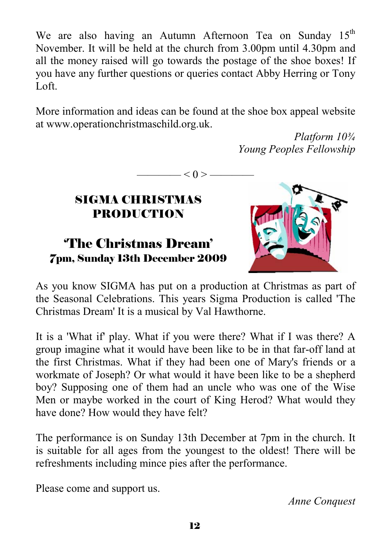We are also having an Autumn Afternoon Tea on Sunday  $15<sup>th</sup>$ November. It will be held at the church from 3.00pm until 4.30pm and all the money raised will go towards the postage of the shoe boxes! If you have any further questions or queries contact Abby Herring or Tony Loft.

More information and ideas can be found at the shoe box appeal website at www.operationchristmaschild.org.uk.

 $-< 0 > -$ 

*Platform 10¾ Young Peoples Fellowship* 

#### SIGMA CHRISTMAS PRODUCTION

#### 'The Christmas Dream' 7pm, Sunday 13th December 2009



As you know SIGMA has put on a production at Christmas as part of the Seasonal Celebrations. This years Sigma Production is called 'The Christmas Dream' It is a musical by Val Hawthorne.

It is a 'What if' play. What if you were there? What if I was there? A group imagine what it would have been like to be in that far-off land at the first Christmas. What if they had been one of Mary's friends or a workmate of Joseph? Or what would it have been like to be a shepherd boy? Supposing one of them had an uncle who was one of the Wise Men or maybe worked in the court of King Herod? What would they have done? How would they have felt?

The performance is on Sunday 13th December at 7pm in the church. It is suitable for all ages from the youngest to the oldest! There will be refreshments including mince pies after the performance.

Please come and support us.

*Anne Conquest*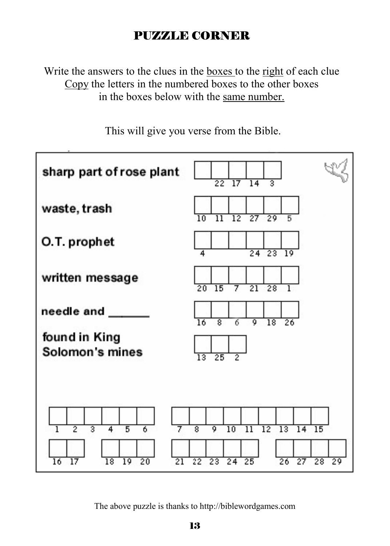## PUZZLE CORNER

Write the answers to the clues in the boxes to the right of each clue Copy the letters in the numbered boxes to the other boxes in the boxes below with the same number.

sharp part of rose plant 22 হ  $17$  $14$ waste, trash  $\overline{27}$  $\overline{12}$  $\overline{29}$ O.T. prophet  $24\overline{23}$  19 written message  $\overline{20}$ 15 21 28 needle and 16 র 7 ᢐ  $\overline{18}$  $\overline{26}$ found in King Solomon's mines 25  $\overline{8}$ ō  $\overline{12}$  $\overline{13}$  $\overline{15}$  $\overline{10}$  $\overline{\rm n}$  $\overline{14}$ 16 17 18 19  $^{20}$ 21  $22$ 23  $24$ 25 26  $27$  $28, 29$ 

This will give you verse from the Bible.

The above puzzle is thanks to http://biblewordgames.com

13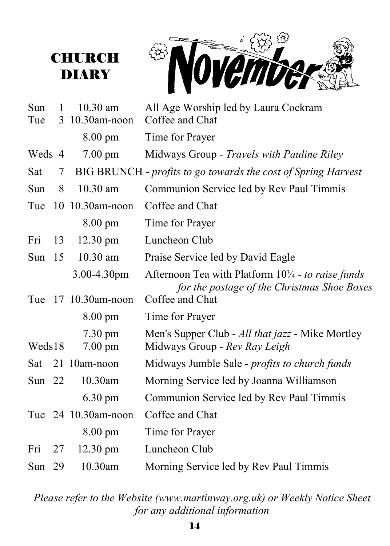# **CHURCH** DIARY



| Sun<br>Tue | 1  | $10.30$ am<br>3 10.30am-noon           | All Age Worship led by Laura Cockram<br>Coffee and Chat                                             |
|------------|----|----------------------------------------|-----------------------------------------------------------------------------------------------------|
|            |    | $8.00 \text{ pm}$                      | Time for Prayer                                                                                     |
| Weds 4     |    | $7.00 \text{ pm}$                      | Midways Group - Travels with Pauline Riley                                                          |
| Sat        | 7  |                                        | BIG BRUNCH - profits to go towards the cost of Spring Harvest                                       |
| Sun        | 8  | $10.30$ am                             | Communion Service led by Rev Paul Timmis                                                            |
| Tue        |    | 10 10.30am-noon                        | Coffee and Chat                                                                                     |
|            |    | $8.00 \text{ pm}$                      | Time for Prayer                                                                                     |
| Fri        | 13 | $12.30 \text{ pm}$                     | Luncheon Club                                                                                       |
| Sun $15$   |    | $10.30$ am                             | Praise Service led by David Eagle                                                                   |
|            |    | $3.00 - 4.30$ pm                       | Afternoon Tea with Platform $103/4$ - to raise funds<br>for the postage of the Christmas Shoe Boxes |
|            |    | Tue 17 10.30am-noon                    | Coffee and Chat                                                                                     |
|            |    | $8.00 \text{ pm}$                      | Time for Prayer                                                                                     |
| Weds18     |    | $7.30 \text{ pm}$<br>$7.00 \text{ pm}$ | Men's Supper Club - All that jazz - Mike Mortley<br>Midways Group - Rev Ray Leigh                   |
| Sat        |    | 21 10am-noon                           | Midways Jumble Sale - <i>profits to church funds</i>                                                |
| Sun $22$   |    | 10.30am                                | Morning Service led by Joanna Williamson                                                            |
|            |    | $6.30 \text{ pm}$                      | Communion Service led by Rev Paul Timmis                                                            |
|            |    | Tue 24 10.30am-noon                    | Coffee and Chat                                                                                     |
|            |    | $8.00 \text{ pm}$                      | Time for Prayer                                                                                     |
| Fri        | 27 | $12.30 \text{ pm}$                     | Luncheon Club                                                                                       |
| Sun $29$   |    | 10.30am                                | Morning Service led by Rev Paul Timmis                                                              |

*Please refer to the Website (www.martinway.org.uk) or Weekly Notice Sheet for any additional information*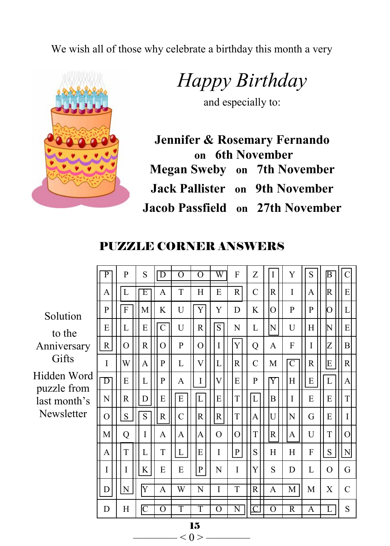We wish all of those why celebrate a birthday this month a very



*Happy Birthday* 

and especially to:

**Jennifer & Rosemary Fernando on 6th November Megan Sweby on 7th November Jack Pallister on 9th November Jacob Passfield on 27th November** 

#### PUZZLE CORNER ANSWERS

|                            | $\overline{P}$        | P            |  | S                       | $\overline{D}$ | $\overline{O}$ | $\overline{O}$            | $\overline{\text{W}}$ | F                  | Z              | I            | Y                         | S            | $\overline{\mathbb{B}}$ | $\mathbf C$    |
|----------------------------|-----------------------|--------------|--|-------------------------|----------------|----------------|---------------------------|-----------------------|--------------------|----------------|--------------|---------------------------|--------------|-------------------------|----------------|
|                            | A                     | L            |  | Ε                       | A              | T              | Н                         | E                     | $\mathbb{R}$       | $\mathbf C$    | $\mathsf{R}$ | I                         | A            | R                       | E              |
| Solution                   | P                     | $\mathbf{F}$ |  | M                       | K              | U              | Y                         | Y                     | D                  | K              | O            | P                         | P            | Ю                       | L              |
| to the                     | E                     | L            |  | E                       | $\overline{C}$ | U              | R                         | $\overline{S}$        | N                  | L              | N            | U                         | Н            | N                       | E              |
| Anniversary                | $\mathbf R$           | $\Omega$     |  | $\mathbb{R}$            | $\Omega$       | P              | O                         | $\mathbf I$           | Y                  | Q              | A            | F                         | I            | Z                       | $\mathbf{B}$   |
| Gifts                      | $\mathbf I$           | W            |  | A                       | P              | L              | $\ensuremath{\mathsf{V}}$ | L                     | $\mathbb{R}$       | $\mathbf C$    | M            | $\overline{C}$            | $\mathbb{R}$ | E                       | R              |
| Hidden Word<br>puzzle from | $\overline{\text{D}}$ | E            |  | L                       | P              | A              | I                         | V                     | E                  | P              | $ {\rm Y} $  | $\boldsymbol{\mathrm{H}}$ | ${\bf E}$    | $\mathbf L$             | A              |
| last month's               | N                     | $\mathbb{R}$ |  | D                       | E              | $\mathbf E$    | $\overline{L}$            | E                     | T                  | L              | B            | I                         | E            | E                       | T              |
| Newsletter                 | $\Omega$              | ${\bf S}$    |  | $\overline{S}$          | ${\bf R}$      | C              | R                         | R                     | T                  | A              | U            | N                         | G            | E                       | I              |
|                            | M                     | Q            |  | I                       | A              | A              | A                         | $\Omega$              | $\overline{O}$     | T              | $\mathbb{R}$ | A                         | U            | $\mathbf T$             | $\overline{O}$ |
|                            | A                     | T            |  | L                       | T              | L              | E                         | I                     | $\mathbf{P}$       | S              | H            | H                         | F            | ${\bf S}$               | ${\rm N}$      |
|                            | I                     | I            |  | K                       | E              | E              | P                         | N                     | I                  | Y              | S            | D                         | L            | O                       | G              |
|                            | D                     | ${\bf N}$    |  | $\overline{\mathrm{Y}}$ | A              | W              | N                         | I                     | T                  | $\mathsf{R}$   | A            | M                         | M            | X                       | $\mathcal{C}$  |
|                            | D                     | Η            |  | $\overline{\mathsf{C}}$ | $\Omega$       | T              | T                         | $\Omega$              | $\overline{\rm N}$ | $\overline{C}$ | O            | $\overline{\text{R}}$     | A            | L                       | S              |
| 15                         |                       |              |  |                         |                |                |                           |                       |                    |                |              |                           |              |                         |                |

 $< 0 > -$